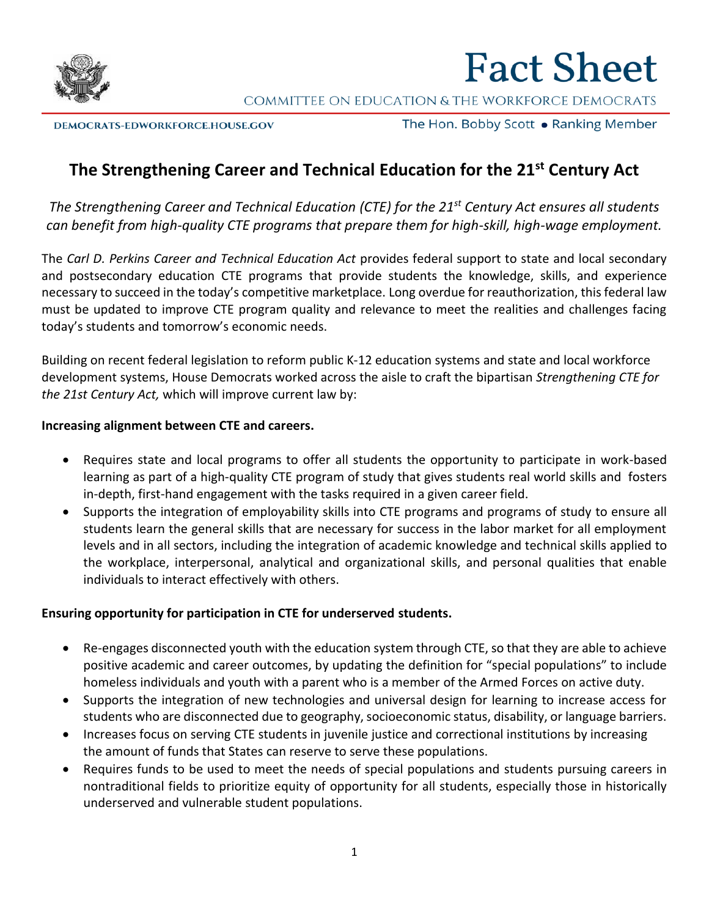

# **Fact Sheet**

COMMITTEE ON EDUCATION & THE WORKFORCE DEMOCRATS

DEMOCRATS-EDWORKFORCE.HOUSE.GOV

The Hon. Bobby Scott • Ranking Member

## **The Strengthening Career and Technical Education for the 21st Century Act**

*The Strengthening Career and Technical Education (CTE) for the 21st Century Act ensures all students can benefit from high-quality CTE programs that prepare them for high-skill, high-wage employment.* 

The *Carl D. Perkins Career and Technical Education Act* provides federal support to state and local secondary and postsecondary education CTE programs that provide students the knowledge, skills, and experience necessary to succeed in the today's competitive marketplace. Long overdue for reauthorization, this federal law must be updated to improve CTE program quality and relevance to meet the realities and challenges facing today's students and tomorrow's economic needs.

Building on recent federal legislation to reform public K-12 education systems and state and local workforce development systems, House Democrats worked across the aisle to craft the bipartisan *Strengthening CTE for the 21st Century Act,* which will improve current law by:

#### **Increasing alignment between CTE and careers.**

- Requires state and local programs to offer all students the opportunity to participate in work-based learning as part of a high-quality CTE program of study that gives students real world skills and fosters in-depth, first-hand engagement with the tasks required in a given career field.
- Supports the integration of employability skills into CTE programs and programs of study to ensure all students learn the general skills that are necessary for success in the labor market for all employment levels and in all sectors, including the integration of academic knowledge and technical skills applied to the workplace, interpersonal, analytical and organizational skills, and personal qualities that enable individuals to interact effectively with others.

#### **Ensuring opportunity for participation in CTE for underserved students.**

- Re-engages disconnected youth with the education system through CTE, so that they are able to achieve positive academic and career outcomes, by updating the definition for "special populations" to include homeless individuals and youth with a parent who is a member of the Armed Forces on active duty.
- Supports the integration of new technologies and universal design for learning to increase access for students who are disconnected due to geography, socioeconomic status, disability, or language barriers.
- Increases focus on serving CTE students in juvenile justice and correctional institutions by increasing the amount of funds that States can reserve to serve these populations.
- Requires funds to be used to meet the needs of special populations and students pursuing careers in nontraditional fields to prioritize equity of opportunity for all students, especially those in historically underserved and vulnerable student populations.